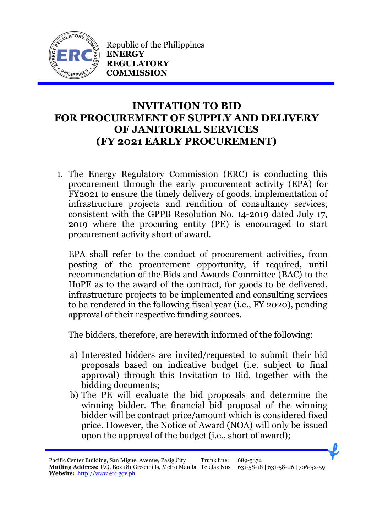

Republic of the Philippines **ENERGY REGULATORY COMMISSION**

## **INVITATION TO BID FOR PROCUREMENT OF SUPPLY AND DELIVERY OF JANITORIAL SERVICES (FY 2021 EARLY PROCUREMENT)**

1. The Energy Regulatory Commission (ERC) is conducting this procurement through the early procurement activity (EPA) for FY2021 to ensure the timely delivery of goods, implementation of infrastructure projects and rendition of consultancy services, consistent with the GPPB Resolution No. 14-2019 dated July 17, 2019 where the procuring entity (PE) is encouraged to start procurement activity short of award.

EPA shall refer to the conduct of procurement activities, from posting of the procurement opportunity, if required, until recommendation of the Bids and Awards Committee (BAC) to the HoPE as to the award of the contract, for goods to be delivered, infrastructure projects to be implemented and consulting services to be rendered in the following fiscal year (i.e., FY 2020), pending approval of their respective funding sources.

The bidders, therefore, are herewith informed of the following:

- a) Interested bidders are invited/requested to submit their bid proposals based on indicative budget (i.e. subject to final approval) through this Invitation to Bid, together with the bidding documents;
- b) The PE will evaluate the bid proposals and determine the winning bidder. The financial bid proposal of the winning bidder will be contract price/amount which is considered fixed price. However, the Notice of Award (NOA) will only be issued upon the approval of the budget (i.e., short of award);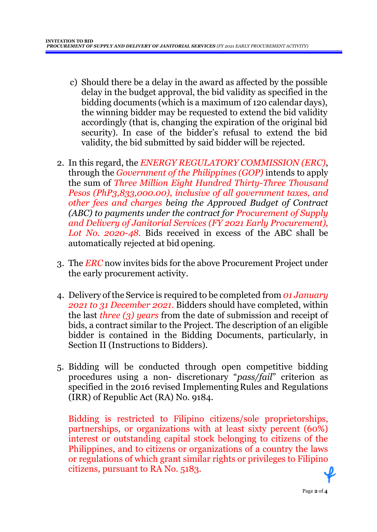- c) Should there be a delay in the award as affected by the possible delay in the budget approval, the bid validity as specified in the bidding documents (which is a maximum of 120 calendar days), the winning bidder may be requested to extend the bid validity accordingly (that is, changing the expiration of the original bid security). In case of the bidder's refusal to extend the bid validity, the bid submitted by said bidder will be rejected.
- 2. In this regard, the *ENERGY REGULATORY COMMISSION (ERC)*, through the *Government of the Philippines (GOP)* intends to apply the sum of *Three Million Eight Hundred Thirty-Three Thousand Pesos (PhP3,833,000.00), inclusive of all government taxes, and other fees and charges being the Approved Budget of Contract (ABC) to payments under the contract for Procurement of Supply and Delivery of Janitorial Services (FY 2021 Early Procurement), Lot No. 2020-48.* Bids received in excess of the ABC shall be automatically rejected at bid opening.
- 3. The *ERC* now invites bids for the above Procurement Project under the early procurement activity.
- 4. Delivery of the Service is required to be completed from *01 January 2021 to 31 December 2021.* Bidders should have completed, within the last *three (3) years* from the date of submission and receipt of bids, a contract similar to the Project. The description of an eligible bidder is contained in the Bidding Documents, particularly, in Section II (Instructions to Bidders).
- 5. Bidding will be conducted through open competitive bidding procedures using a non- discretionary "*pass/fail*" criterion as specified in the 2016 revised Implementing Rules and Regulations (IRR) of Republic Act (RA) No. 9184.

Bidding is restricted to Filipino citizens/sole proprietorships, partnerships, or organizations with at least sixty percent (60%) interest or outstanding capital stock belonging to citizens of the Philippines, and to citizens or organizations of a country the laws or regulations of which grant similar rights or privileges to Filipino citizens, pursuant to RA No. 5183.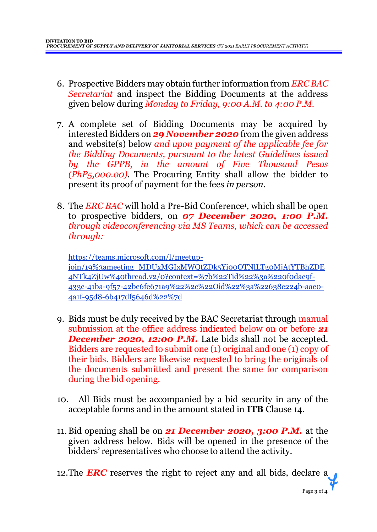- 6. Prospective Bidders may obtain further information from *ERC BAC Secretariat* and inspect the Bidding Documents at the address given below during *Monday to Friday, 9:00 A.M. to 4:00 P.M*.
- 7. A complete set of Bidding Documents may be acquired by interested Bidders on *29 November 2020* from the given address and website(s) below *and upon payment of the applicable fee for the Bidding Documents, pursuant to the latest Guidelines issued by the GPPB, in the amount of Five Thousand Pesos (PhP5,000.00)*. The Procuring Entity shall allow the bidder to present its proof of payment for the fees *in person.*
- 8. The *ERC BAC* will hold a Pre-Bid Conference<sup>1</sup> , which shall be open to prospective bidders, on *07 December 2020, 1:00 P.M. through videoconferencing via MS Teams, which can be accessed through:*

https://teams.microsoft.com/l/meetupjoin/19%3ameeting\_MDUxMGIxMWQtZDk5Yi00OTNlLTg0MjAtYTBhZDE 4NTk4ZjUw%40thread.v2/0?context=%7b%22Tid%22%3a%220f0dac9f-433c-41ba-9f57-42be6fe671a9%22%2c%22Oid%22%3a%22638c224b-aae0- 4a1f-95d8-6b417df5646d%22%7d

- 9. Bids must be duly received by the BAC Secretariat through manual submission at the office address indicated below on or before *21* **December 2020, 12:00 P.M.** Late bids shall not be accepted. Bidders are requested to submit one (1) original and one (1) copy of their bids. Bidders are likewise requested to bring the originals of the documents submitted and present the same for comparison during the bid opening.
- 10. All Bids must be accompanied by a bid security in any of the acceptable forms and in the amount stated in **ITB** Clause 14.
- 11.Bid opening shall be on *21 December 2020, 3:00 P.M.* at the given address below. Bids will be opened in the presence of the bidders' representatives who choose to attend the activity.

12.The *ERC* reserves the right to reject any and all bids, declare a